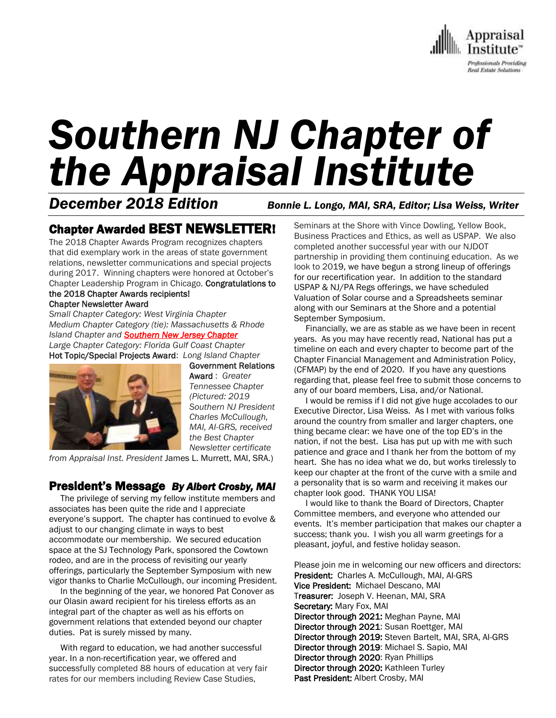

# *Southern NJ Chapter of the Appraisal Institute*

*December 2018 Edition Bonnie L. Longo, MAI, SRA, Editor; Lisa Weiss, Writer*

## Chapter Awarded BEST NEWSLETTER!

The 2018 Chapter Awards Program recognizes chapters that did exemplary work in the areas of state government relations, newsletter communications and special projects during 2017. Winning chapters were honored at October's Chapter Leadership Program in Chicago. Congratulations to the 2018 Chapter Awards recipients!

#### Chapter Newsletter Award

*Small Chapter Category: West Virginia Chapter Medium Chapter Category (tie): Massachusetts & Rhode Island Chapter and Southern New Jersey Chapter Large Chapter Category: Florida Gulf Coast Chapter*

Hot Topic/Special Projects Award: *Long Island Chapter* Government Relations



Award : *Greater Tennessee Chapter (Pictured: 2019 Southern NJ President Charles McCullough, MAI, AI-GRS, received the Best Chapter Newsletter certificate* 

*from Appraisal Inst. President* James L. Murrett, MAI, SRA.)

#### President's Message *By Albert Crosby, MAI*

 The privilege of serving my fellow institute members and associates has been quite the ride and I appreciate everyone's support. The chapter has continued to evolve & adjust to our changing climate in ways to best accommodate our membership. We secured education space at the SJ Technology Park, sponsored the Cowtown rodeo, and are in the process of revisiting our yearly offerings, particularly the September Symposium with new vigor thanks to Charlie McCullough, our incoming President.

 In the beginning of the year, we honored Pat Conover as our Olasin award recipient for his tireless efforts as an integral part of the chapter as well as his efforts on government relations that extended beyond our chapter duties. Pat is surely missed by many.

 With regard to education, we had another successful year. In a non-recertification year, we offered and successfully completed 88 hours of education at very fair rates for our members including Review Case Studies,

Seminars at the Shore with Vince Dowling, Yellow Book, Business Practices and Ethics, as well as USPAP. We also completed another successful year with our NJDOT partnership in providing them continuing education. As we look to 2019, we have begun a strong lineup of offerings for our recertification year. In addition to the standard USPAP & NJ/PA Regs offerings, we have scheduled Valuation of Solar course and a Spreadsheets seminar along with our Seminars at the Shore and a potential September Symposium.

 Financially, we are as stable as we have been in recent years. As you may have recently read, National has put a timeline on each and every chapter to become part of the Chapter Financial Management and Administration Policy, (CFMAP) by the end of 2020. If you have any questions regarding that, please feel free to submit those concerns to any of our board members, Lisa, and/or National.

 I would be remiss if I did not give huge accolades to our Executive Director, Lisa Weiss. As I met with various folks around the country from smaller and larger chapters, one thing became clear: we have one of the top ED's in the nation, if not the best. Lisa has put up with me with such patience and grace and I thank her from the bottom of my heart. She has no idea what we do, but works tirelessly to keep our chapter at the front of the curve with a smile and a personality that is so warm and receiving it makes our chapter look good. THANK YOU LISA!

 I would like to thank the Board of Directors, Chapter Committee members, and everyone who attended our events. It's member participation that makes our chapter a success; thank you. I wish you all warm greetings for a pleasant, joyful, and festive holiday season.

Please join me in welcoming our new officers and directors: President: Charles A. McCullough, MAI, AI-GRS Vice President: Michael Descano, MAI Treasurer: Joseph V. Heenan, MAI, SRA Secretary: Mary Fox, MAI Director through 2021: Meghan Payne, MAI Director through 2021: Susan Roettger, MAI Director through 2019: Steven Bartelt, MAI, SRA, AI-GRS Director through 2019: Michael S. Sapio, MAI Director through 2020: Ryan Phillips Director through 2020: Kathleen Turley Past President: Albert Crosby, MAI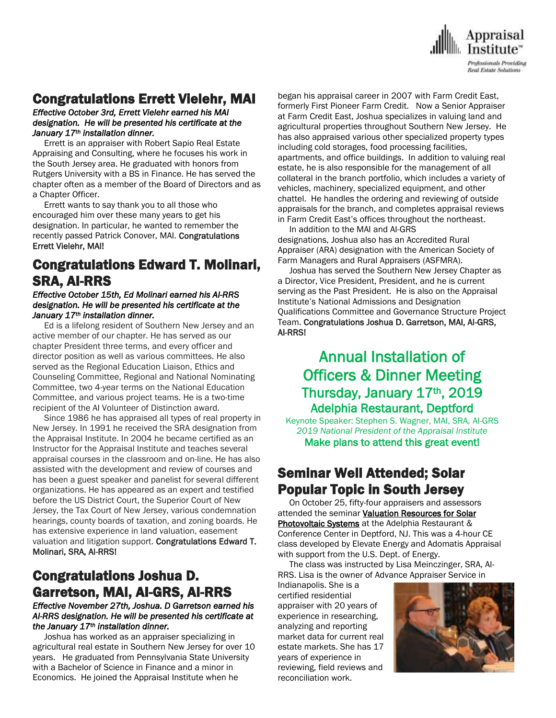

## Congratulations Errett Vielehr, MAI

#### *Effective October 3rd, Errett Vielehr earned his MAI designation. He will be presented his certificate at the January 17th installation dinner.*

 Errett is an appraiser with Robert Sapio Real Estate Appraising and Consulting, where he focuses his work in the South Jersey area. He graduated with honors from Rutgers University with a BS in Finance. He has served the chapter often as a member of the Board of Directors and as a Chapter Officer.

 Errett wants to say thank you to all those who encouraged him over these many years to get his designation. In particular, he wanted to remember the recently passed Patrick Conover, MAI. Congratulations Errett Vielehr, MAI!

## Congratulations Edward T. Molinari, SRA, AI-RRS

#### *Effective October 15th, Ed Molinari earned his AI-RRS designation. He will be presented his certificate at the January 17th installation dinner.*

 Ed is a lifelong resident of Southern New Jersey and an active member of our chapter. He has served as our chapter President three terms, and every officer and director position as well as various committees. He also served as the Regional Education Liaison, Ethics and Counseling Committee, Regional and National Nominating Committee, two 4-year terms on the National Education Committee, and various project teams. He is a two-time recipient of the AI Volunteer of Distinction award.

 Since 1986 he has appraised all types of real property in New Jersey. In 1991 he received the SRA designation from the Appraisal Institute. In 2004 he became certified as an Instructor for the Appraisal Institute and teaches several appraisal courses in the classroom and on-line. He has also assisted with the development and review of courses and has been a guest speaker and panelist for several different organizations. He has appeared as an expert and testified before the US District Court, the Superior Court of New Jersey, the Tax Court of New Jersey, various condemnation hearings, county boards of taxation, and zoning boards. He has extensive experience in land valuation, easement valuation and litigation support. Congratulations Edward T. Molinari, SRA, AI-RRS!

## Congratulations Joshua D. Garretson, MAI, AI-GRS, AI-RRS

#### *Effective November 27th, Joshua. D Garretson earned his AI-RRS designation. He will be presented his certificate at the January 17th installation dinner.*

 Joshua has worked as an appraiser specializing in agricultural real estate in Southern New Jersey for over 10 years. He graduated from Pennsylvania State University with a Bachelor of Science in Finance and a minor in Economics. He joined the Appraisal Institute when he

began his appraisal career in 2007 with Farm Credit East, formerly First Pioneer Farm Credit. Now a Senior Appraiser at Farm Credit East, Joshua specializes in valuing land and agricultural properties throughout Southern New Jersey. He has also appraised various other specialized property types including cold storages, food processing facilities, apartments, and office buildings. In addition to valuing real estate, he is also responsible for the management of all collateral in the branch portfolio, which includes a variety of vehicles, machinery, specialized equipment, and other chattel. He handles the ordering and reviewing of outside appraisals for the branch, and completes appraisal reviews in Farm Credit East's offices throughout the northeast.

 In addition to the MAI and AI-GRS designations, Joshua also has an Accredited Rural Appraiser (ARA) designation with the American Society of Farm Managers and Rural Appraisers (ASFMRA).

 Joshua has served the Southern New Jersey Chapter as a Director, Vice President, President, and he is current serving as the Past President. He is also on the Appraisal Institute's National Admissions and Designation Qualifications Committee and Governance Structure Project Team. Congratulations Joshua D. Garretson, MAI, AI-GRS, AI-RRS!

## Annual Installation of Officers & Dinner Meeting Thursday, January 17th, 2019 Adelphia Restaurant, Deptford

Keynote Speaker: Stephen S. Wagner, MAI, SRA, AI-GRS *2019 National President of the Appraisal Institute* Make plans to attend this great event!

## Seminar Well Attended; Solar Popular Topic in South Jersey

 On October 25, fifty-four appraisers and assessors attended the seminar Valuation Resources for Solar Photovoltaic Systems at the Adelphia Restaurant & Conference Center in Deptford, NJ. This was a 4-hour CE class developed by Elevate Energy and Adomatis Appraisal with support from the U.S. Dept. of Energy.

 The class was instructed by Lisa Meinczinger, SRA, AI-RRS. Lisa is the owner of Advance Appraiser Service in

Indianapolis. She is a certified residential appraiser with 20 years of experience in researching, analyzing and reporting market data for current real estate markets. She has 17 years of experience in reviewing, field reviews and reconciliation work.

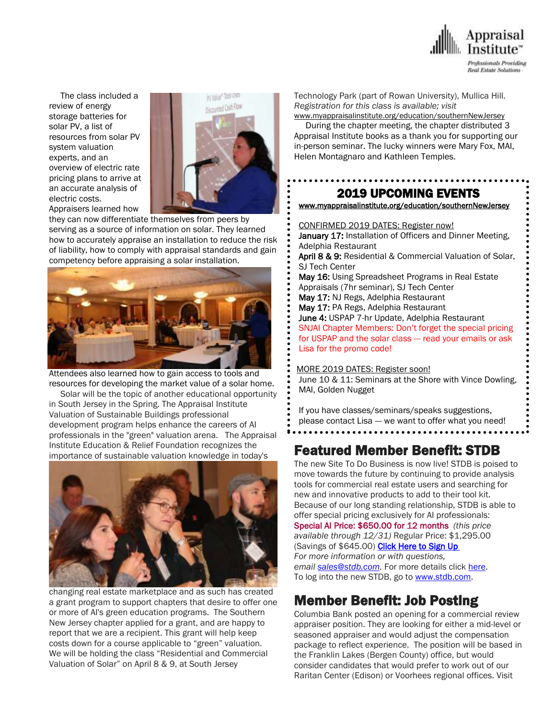

 The class included a review of energy storage batteries for solar PV, a list of resources from solar PV system valuation experts, and an overview of electric rate pricing plans to arrive at an accurate analysis of electric costs. Appraisers learned how



they can now differentiate themselves from peers by serving as a source of information on solar. They learned how to accurately appraise an installation to reduce the risk of liability, how to comply with appraisal standards and gain competency before appraising a solar installation.



Attendees also learned how to gain access to tools and resources for developing the market value of a solar home.

 Solar will be the topic of another educational opportunity in South Jersey in the Spring. The Appraisal Institute Valuation of Sustainable Buildings professional development program helps enhance the careers of AI professionals in the "green" valuation arena. The Appraisal Institute Education & Relief Foundation recognizes the importance of sustainable valuation knowledge in today's



changing real estate marketplace and as such has created a grant program to support chapters that desire to offer one or more of AI's green education programs. The Southern New Jersey chapter applied for a grant, and are happy to report that we are a recipient. This grant will help keep costs down for a course applicable to "green" valuation. We will be holding the class "Residential and Commercial Valuation of Solar" on April 8 & 9, at South Jersey

Technology Park (part of Rowan University), Mullica Hill. *Registration for this class is available; visit* 

[www.myappraisalinstitute.org/education/southernNewJersey](http://www.myappraisalinstitute.org/education/southernNewJersey)

 During the chapter meeting, the chapter distributed 3 Appraisal Institute books as a thank you for supporting our in-person seminar. The lucky winners were Mary Fox, MAI, Helen Montagnaro and Kathleen Temples.

#### 2019 UPCOMING EVENTS

. . . . . . . . . . . . . . . . . . . .

[www.myappraisalinstitute.org/education/southernNewJersey](http://www.myappraisalinstitute.org/education/southernNewJersey)

 CONFIRMED 2019 DATES: Register now! January 17: Installation of Officers and Dinner Meeting, Adelphia Restaurant April 8 & 9: Residential & Commercial Valuation of Solar. SJ Tech Center May 16: Using Spreadsheet Programs in Real Estate Appraisals (7hr seminar), SJ Tech Center May 17: NJ Regs, Adelphia Restaurant May 17: PA Regs, Adelphia Restaurant June 4: USPAP 7-hr Update, Adelphia Restaurant SNJAI Chapter Members: Don't forget the special pricing for USPAP and the solar class --- read your emails or ask Lisa for the promo code!

#### MORE 2019 DATES: Register soon!

 June 10 & 11: Seminars at the Shore with Vince Dowling, MAI, Golden Nugget

 If you have classes/seminars/speaks suggestions, please contact Lisa --- we want to offer what you need!  $\ddot{\phantom{0}}$ 

## Featured Member Benefit: STDB

The new Site To Do Business is now live! STDB is poised to move towards the future by continuing to provide analysis tools for commercial real estate users and searching for new and innovative products to add to their tool kit. Because of our long standing relationship, STDB is able to offer special pricing exclusively for AI professionals: Special AI Price: \$650.00 for 12 months *(this price available through 12/31)* Regular Price: \$1,295.00 (Savings of \$645.00) **Click Here to Sign Up** *For more information or with questions, email [sales@stdb.com.](mailto:sales@stdb.com)* For more details click [here.](http://send.appraisalinstitute.org/link.cfm?r=b0cu52FEpQ5beQ1mo2g1Ag~~&pe=bnhpH5jdsrjHj-3JKO1dHkjvTBFJ_BskZvtcBGc2T92BE1qXg0avYZNSY6WNCxvb6NMwo0nB_229QhmLN-Vb6A~~&t=o6rQv9fbfhZS8cVVjQeaWQ~~) To log into the new STDB, go to [www.stdb.com.](http://send.appraisalinstitute.org/link.cfm?r=b0cu52FEpQ5beQ1mo2g1Ag~~&pe=rdaNjjQMBHu78z2dM_vi2MEdY-8P2ZkONGWfg9gmUA4dXeQaVWBs32movRIZjxq3bQJBo3PfYbQwMwvKAMaVlg~~&t=o6rQv9fbfhZS8cVVjQeaWQ~~)

## Member Benefit: Job Posting

Columbia Bank posted an opening for a commercial review appraiser position. They are looking for either a mid-level or seasoned appraiser and would adjust the compensation package to reflect experience. The position will be based in the Franklin Lakes (Bergen County) office, but would consider candidates that would prefer to work out of our Raritan Center (Edison) or Voorhees regional offices. Visit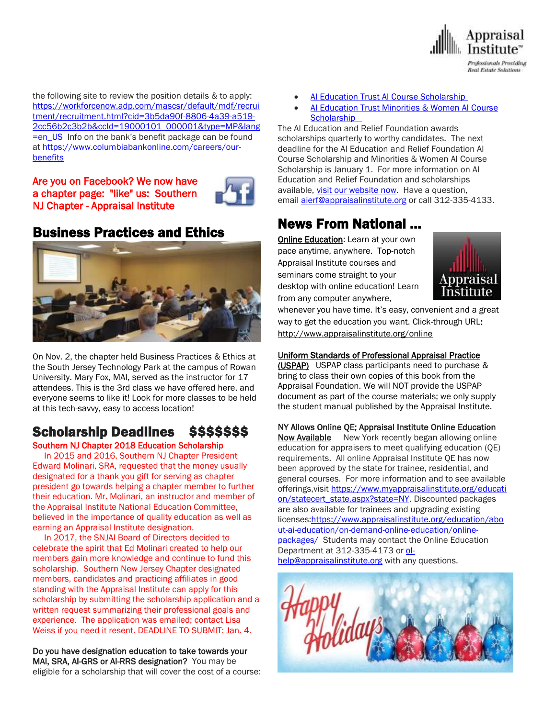

the following site to review the position details & to apply: [https://workforcenow.adp.com/mascsr/default/mdf/recrui](https://workforcenow.adp.com/mascsr/default/mdf/recruitment/recruitment.html?cid=3b5da90f-8806-4a39-a519-2cc56b2c3b2b&ccId=19000101_000001&type=MP&lang=en_US) [tment/recruitment.html?cid=3b5da90f-8806-4a39-a519-](https://workforcenow.adp.com/mascsr/default/mdf/recruitment/recruitment.html?cid=3b5da90f-8806-4a39-a519-2cc56b2c3b2b&ccId=19000101_000001&type=MP&lang=en_US) [2cc56b2c3b2b&ccId=19000101\\_000001&type=MP&lang](https://workforcenow.adp.com/mascsr/default/mdf/recruitment/recruitment.html?cid=3b5da90f-8806-4a39-a519-2cc56b2c3b2b&ccId=19000101_000001&type=MP&lang=en_US)  $\frac{1}{2}$  = en US Info on the bank's benefit package can be found at [https://www.columbiabankonline.com/careers/our](https://www.columbiabankonline.com/careers/our-benefits)[benefits](https://www.columbiabankonline.com/careers/our-benefits)

Are you on Facebook? We now have a chapter page: "like" us: Southern NJ Chapter - Appraisal Institute



## Business Practices and Ethics



On Nov. 2, the chapter held Business Practices & Ethics at the South Jersey Technology Park at the campus of Rowan University. Mary Fox, MAI, served as the instructor for 17 attendees. This is the 3rd class we have offered here, and everyone seems to like it! Look for more classes to be held at this tech-savvy, easy to access location!

## Scholarship Deadlines \$\$\$\$\$\$\$\$

Southern NJ Chapter 2018 Education Scholarship In 2015 and 2016, Southern NJ Chapter President Edward Molinari, SRA, requested that the money usually designated for a thank you gift for serving as chapter president go towards helping a chapter member to further their education. Mr. Molinari, an instructor and member of the Appraisal Institute National Education Committee, believed in the importance of quality education as well as earning an Appraisal Institute designation.

 In 2017, the SNJAI Board of Directors decided to celebrate the spirit that Ed Molinari created to help our members gain more knowledge and continue to fund this scholarship. Southern New Jersey Chapter designated members, candidates and practicing affiliates in good standing with the Appraisal Institute can apply for this scholarship by submitting the scholarship application and a written request summarizing their professional goals and experience. The application was emailed; contact Lisa Weiss if you need it resent. DEADLINE TO SUBMIT: Jan. 4.

Do you have designation education to take towards your MAI, SRA, AI-GRS or AI-RRS designation? You may be eligible for a scholarship that will cover the cost of a course:

- [AI Education Trust AI Course Scholarship](http://send.appraisalinstitute.org/link.cfm?r=TyxXOooBFM-9kcaVyjABIA~~&pe=2LfVDLKkPw4a7iTJT6vFSRyUTGWvyKlgZVfaPxv8aeo3V7p4KW8PkzldlItyi6QjcBvOjG5kSbUVrCcwyOcfrw~~&t=tFW740karyB2Xp6B0vb37A~~)
- [AI Education Trust Minorities & Women AI Course](http://send.appraisalinstitute.org/link.cfm?r=TyxXOooBFM-9kcaVyjABIA~~&pe=buSm2u3XE0A-XOxJTNdDARx35OKrf9M7Cm1PFLBX8PcOseTGh-WmE1v1L86Qi2rC8D7CQupIRrnMkBAEYtTDfA~~&t=tFW740karyB2Xp6B0vb37A~~)  **Scholarship**

The AI Education and Relief Foundation awards scholarships quarterly to worthy candidates. The next deadline for the AI Education and Relief Foundation AI Course Scholarship and Minorities & Women AI Course Scholarship is January 1. For more information on Al Education and Relief Foundation and scholarships available, *visit our website now*. Have a question, email [aierf@appraisalinstitute.org](mailto:aierf@appraisalinstitute.org) or call 312-335-4133.

## News From National …

**[Online Education:](http://www.mmsend50.com/ls.cfm?r=99596491&sid=8974475&m=957997&u=Appraise&s=http://www.appraisalinstitute.org/online) Learn at your own** pace anytime, anywhere. Top-notch Appraisal Institute courses and seminars come straight to your desktop with online education! Learn from any computer anywhere,



whenever you have time. It's easy, convenient and a great way to get the education you want. Click-through URL: [http://www.appraisalinstitute.org/online](http://www.mmsend50.com/ls.cfm?r=99596491&sid=8974477&m=957997&u=Appraise&s=http://www.appraisalinstitute.org/online)

#### Uniform Standards of Professional Appraisal Practice

(USPAP) USPAP class participants need to purchase & bring to class their own copies of this book from the Appraisal Foundation. We will NOT provide the USPAP document as part of the course materials; we only supply the student manual published by the Appraisal Institute.

NY Allows Online QE; Appraisal Institute Online Education Now Available New York recently began allowing online education for appraisers to meet qualifying education (QE) requirements. All online Appraisal Institute QE has now been approved by the state for trainee, residential, and general courses. For more information and to see available offerings, visit [https://www.myappraisalinstitute.org/educati](https://www.myappraisalinstitute.org/education/statecert_state.aspx?state=NY) [on/statecert\\_state.aspx?state=NY.](https://www.myappraisalinstitute.org/education/statecert_state.aspx?state=NY) Discounted packages are also available for trainees and upgrading existing licenses[:https://www.appraisalinstitute.org/education/abo](https://www.appraisalinstitute.org/education/about-ai-education/on-demand-online-education/online-packages/) [ut-ai-education/on-demand-online-education/online](https://www.appraisalinstitute.org/education/about-ai-education/on-demand-online-education/online-packages/)[packages/](https://www.appraisalinstitute.org/education/about-ai-education/on-demand-online-education/online-packages/) Students may contact the Online Education Department at 312-335-4173 or [ol](mailto:ol-help@appraisalinstitute.org)[help@appraisalinstitute.org](mailto:ol-help@appraisalinstitute.org) with any questions.

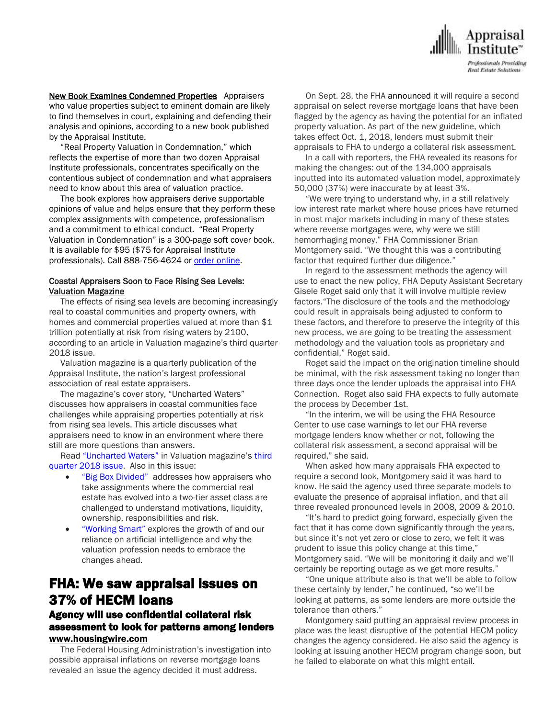

New Book Examines Condemned Properties Appraisers who value properties subject to eminent domain are likely to find themselves in court, explaining and defending their analysis and opinions, according to a new book published by the Appraisal Institute.

 "Real Property Valuation in Condemnation," which reflects the expertise of more than two dozen Appraisal Institute professionals, concentrates specifically on the contentious subject of condemnation and what appraisers need to know about this area of valuation practice.

 The book explores how appraisers derive supportable opinions of value and helps ensure that they perform these complex assignments with competence, professionalism and a commitment to ethical conduct. "Real Property Valuation in Condemnation" is a 300-page soft cover book. It is available for \$95 (\$75 for Appraisal Institute professionals). Call 888-756-4624 or order [online.](https://www.appraisalinstitute.org/real-property-valuation-in-condemnation/)

#### Coastal Appraisers Soon to Face Rising Sea Levels: Valuation Magazine

 The effects of rising sea levels are becoming increasingly real to coastal communities and property owners, with homes and commercial properties valued at more than \$1 trillion potentially at risk from rising waters by 2100, according to an article in Valuation magazine's third quarter 2018 issue.

 Valuation magazine is a quarterly publication of the Appraisal Institute, the nation's largest professional association of real estate appraisers.

 The magazine's cover story, "Uncharted Waters" discusses how appraisers in coastal communities face challenges while appraising properties potentially at risk from rising sea levels. This article discusses what appraisers need to know in an environment where there still are more questions than answers.

 Read ["Uncharted Waters"](http://email.prnewswire.com/wf/click?upn=hQPTvM7kmxKCxsdOmvrSxElrh2HOzmAs6nfX8FZccNoWWi08LbYebFcASHj4Dui6TRNfoxe1GrAufGP169WKnCOcOdzh9euQPdkPpRFhiWWKG-2BYLHRrnrPSLR5fAYpzpTEx-2F4iK3NzcAoXd8Z7ICcQvStAL-2Bzw2u02EXhQB8myP6V6osrWc3NEyu3DzYGe3Y5Lh2zqb-2FGuNpeRUAyuL92XcwWbVK63BHxTWIboRhKlvFS1Le6Hy4Iy-2FC1bgtaWfZfeO6JWVbcNGNUPp3DiHPng-3D-3D_YRPfbc9BSCpXKTgdcsJ3-2BdZ9g32aJO-2Biq53XIHTGXdPSCWuUi9-2BY6YFy98ZD0OCM1dFWPhTf5GtMiTgYfWdpZ9M1bDNw-2BVLzDpLTgWc1bEuJbGyaHFCn8TQu2QY25-2FpjNG1QDfheMqXZh8VELpP2Ma3F8wG6x7RQ-2FuAvNdgqXWYNZPzJRdgohudqlJZaJilWq-2BADOJctOwq11XK6Gwy40uhgzqglNAITxjpN63UCLHbk5DoUOGOp11IDPfDemR3QkWhhWeSLNkdQzdas48ZRFh13VYBSkTKWkKAiE6ZB9o3X2UVNY1WPjHrmbvy-2Fz9YD8xaS6tJB39KMhFR9NJt1OQ-3D-3D) in Valuation magazine's [third](http://email.prnewswire.com/wf/click?upn=hQPTvM7kmxKCxsdOmvrSxElrh2HOzmAs6nfX8FZccNoWWi08LbYebFcASHj4Dui6TRNfoxe1GrAufGP169WKnCOcOdzh9euQPdkPpRFhiWWKG-2BYLHRrnrPSLR5fAYpzpTEx-2F4iK3NzcAoXd8Z7ICcQvStAL-2Bzw2u02EXhQB8myP6V6osrWc3NEyu3DzYGe3Y5Lh2zqb-2FGuNpeRUAyuL92XcwWbVK63BHxTWIboRhKluprBzSly9XzfKgPfOm5q34pmZkd2HxTzhWpvLxc0YTiQ-3D-3D_YRPfbc9BSCpXKTgdcsJ3-2BdZ9g32aJO-2Biq53XIHTGXdPSCWuUi9-2BY6YFy98ZD0OCM1dFWPhTf5GtMiTgYfWdpZ9M1bDNw-2BVLzDpLTgWc1bEuJbGyaHFCn8TQu2QY25-2FpjNG1QDfheMqXZh8VELpP2Ma3F8wG6x7RQ-2FuAvNdgqXWYNZPzJRdgohudqlJZaJilWqAZWza4yhpjmuQlnoacqQjcMLm-2BPeGd8aFiQPI-2BKYnmSC2g9Jz3nyGDkYNX0zJUIJuZhp-2FL7wJYkAVo396vaaz9c8NlIkcEBo5A5VKYtrzJHYAZGgkwYsZ3YuBnndHmWkhfWukDJlz9JOzg9S4WQOg-3D-3D)  [quarter 2018 issue.](http://email.prnewswire.com/wf/click?upn=hQPTvM7kmxKCxsdOmvrSxElrh2HOzmAs6nfX8FZccNoWWi08LbYebFcASHj4Dui6TRNfoxe1GrAufGP169WKnCOcOdzh9euQPdkPpRFhiWWKG-2BYLHRrnrPSLR5fAYpzpTEx-2F4iK3NzcAoXd8Z7ICcQvStAL-2Bzw2u02EXhQB8myP6V6osrWc3NEyu3DzYGe3Y5Lh2zqb-2FGuNpeRUAyuL92XcwWbVK63BHxTWIboRhKluprBzSly9XzfKgPfOm5q34pmZkd2HxTzhWpvLxc0YTiQ-3D-3D_YRPfbc9BSCpXKTgdcsJ3-2BdZ9g32aJO-2Biq53XIHTGXdPSCWuUi9-2BY6YFy98ZD0OCM1dFWPhTf5GtMiTgYfWdpZ9M1bDNw-2BVLzDpLTgWc1bEuJbGyaHFCn8TQu2QY25-2FpjNG1QDfheMqXZh8VELpP2Ma3F8wG6x7RQ-2FuAvNdgqXWYNZPzJRdgohudqlJZaJilWqAZWza4yhpjmuQlnoacqQjcMLm-2BPeGd8aFiQPI-2BKYnmSC2g9Jz3nyGDkYNX0zJUIJuZhp-2FL7wJYkAVo396vaaz9c8NlIkcEBo5A5VKYtrzJHYAZGgkwYsZ3YuBnndHmWkhfWukDJlz9JOzg9S4WQOg-3D-3D) Also in this issue:

- ["Big Box Divided"](http://email.prnewswire.com/wf/click?upn=hQPTvM7kmxKCxsdOmvrSxElrh2HOzmAs6nfX8FZccNoWWi08LbYebFcASHj4Dui6TRNfoxe1GrAufGP169WKnCOcOdzh9euQPdkPpRFhiWWKG-2BYLHRrnrPSLR5fAYpzpTEx-2F4iK3NzcAoXd8Z7ICcQvStAL-2Bzw2u02EXhQB8myP6V6osrWc3NEyu3DzYGe3Y5Lh2zqb-2FGuNpeRUAyuL92XcwWbVK63BHxTWIboRhKlt8zw-2Fy5RQIpjVHB73dSitlvPL2p9zHCRtiMA7z3mOdlg-3D-3D_YRPfbc9BSCpXKTgdcsJ3-2BdZ9g32aJO-2Biq53XIHTGXdPSCWuUi9-2BY6YFy98ZD0OCM1dFWPhTf5GtMiTgYfWdpZ9M1bDNw-2BVLzDpLTgWc1bEuJbGyaHFCn8TQu2QY25-2FpjNG1QDfheMqXZh8VELpP2Ma3F8wG6x7RQ-2FuAvNdgqXWYNZPzJRdgohudqlJZaJilWKrHFcjoqt7B8CmWQ6QiG2X7QCRpwuWvVPmhLegozmHSQLZ2-2Fksvh8FGwE-2BTq-2FjoK-2B1m8xWIUqUjJkJGm-2BZvi-2FUT29zxGHp3Bl8u7xD-2BmAkvS8Kkp7-2B7SLW7mFemWt90J0WA5nND4EGpQEpIpuDE0HA-3D-3D) addresses how appraisers who take assignments where the commercial real estate has evolved into a two-tier asset class are challenged to understand motivations, liquidity, ownership, responsibilities and risk.
- ["Working Smart"](http://email.prnewswire.com/wf/click?upn=hQPTvM7kmxKCxsdOmvrSxElrh2HOzmAs6nfX8FZccNoWWi08LbYebFcASHj4Dui6TRNfoxe1GrAufGP169WKnCOcOdzh9euQPdkPpRFhiWWKG-2BYLHRrnrPSLR5fAYpzpTEx-2F4iK3NzcAoXd8Z7ICcQvStAL-2Bzw2u02EXhQB8myP6V6osrWc3NEyu3DzYGe3Y5Lh2zqb-2FGuNpeRUAyuL92XcwWbVK63BHxTWIboRhKlul7OhkGhCiv221iYVjiZZBu2UR87EQIFSRiRF6gDjXRg-3D-3D_YRPfbc9BSCpXKTgdcsJ3-2BdZ9g32aJO-2Biq53XIHTGXdPSCWuUi9-2BY6YFy98ZD0OCM1dFWPhTf5GtMiTgYfWdpZ9M1bDNw-2BVLzDpLTgWc1bEuJbGyaHFCn8TQu2QY25-2FpjNG1QDfheMqXZh8VELpP2Ma3F8wG6x7RQ-2FuAvNdgqXWYNZPzJRdgohudqlJZaJilWi189C5OBSwQIE8TFOylyGYestRAUxMhs4KzC-2B2vNeFzGsTCMqbfx6Sn06BEO0wM7V6adxDZnbEfH1vAkgFVCXOG1n9TQpjzmofKAyjV3y-2BlxK4JNgfo1KZu1hFJiWJrMOXmJKXA7YJR7YXBNlnTCNQ-3D-3D) explores the growth of and our reliance on artificial intelligence and why the valuation profession needs to embrace the changes ahead.

## FHA: We saw appraisal issues on 37% of HECM loans

#### Agency will use confidential collateral risk assessment to look for patterns among lenders [www.housingwire.com](http://www.housingwire.com/)

 The Federal Housing Administration's investigation into possible appraisal inflations on reverse mortgage loans revealed an issue the agency decided it must address.

 On Sept. 28, the FHA [announced](https://www.housingwire.com/articles/46970-fha-to-require-second-appraisal-on-select-reverse-mortgages) it will require a second appraisal on select reverse mortgage loans that have been flagged by the agency as having the potential for an inflated property valuation. As part of the new guideline, which takes effect Oct. 1, 2018, lenders must submit their appraisals to FHA to undergo a collateral risk assessment.

 In a call with reporters, the FHA revealed its reasons for making the changes: out of the 134,000 appraisals inputted into its automated valuation model, approximately 50,000 (37%) were inaccurate by at least 3%.

 "We were trying to understand why, in a still relatively low interest rate market where house prices have returned in most major markets including in many of these states where reverse mortgages were, why were we still hemorrhaging money," FHA Commissioner Brian Montgomery said. "We thought this was a contributing factor that required further due diligence."

 In regard to the assessment methods the agency will use to enact the new policy, FHA Deputy Assistant Secretary Gisele Roget said only that it will involve multiple review factors."The disclosure of the tools and the methodology could result in appraisals being adjusted to conform to these factors, and therefore to preserve the integrity of this new process, we are going to be treating the assessment methodology and the valuation tools as proprietary and confidential," Roget said.

 Roget said the impact on the origination timeline should be minimal, with the risk assessment taking no longer than three days once the lender uploads the appraisal into FHA Connection. Roget also said FHA expects to fully automate the process by December 1st.

 "In the interim, we will be using the FHA Resource Center to use case warnings to let our FHA reverse mortgage lenders know whether or not, following the collateral risk assessment, a second appraisal will be required," she said.

 When asked how many appraisals FHA expected to require a second look, Montgomery said it was hard to know. He said the agency used three separate models to evaluate the presence of appraisal inflation, and that all three revealed pronounced levels in 2008, 2009 & 2010.

 "It's hard to predict going forward, especially given the fact that it has come down significantly through the years, but since it's not yet zero or close to zero, we felt it was prudent to issue this policy change at this time," Montgomery said. "We will be monitoring it daily and we'll certainly be reporting outage as we get more results."

 "One unique attribute also is that we'll be able to follow these certainly by lender," he continued, "so we'll be looking at patterns, as some lenders are more outside the tolerance than others."

 Montgomery said putting an appraisal review process in place was the least disruptive of the potential HECM policy changes the agency considered. He also said the agency is looking at issuing another HECM program change soon, but he failed to elaborate on what this might entail.